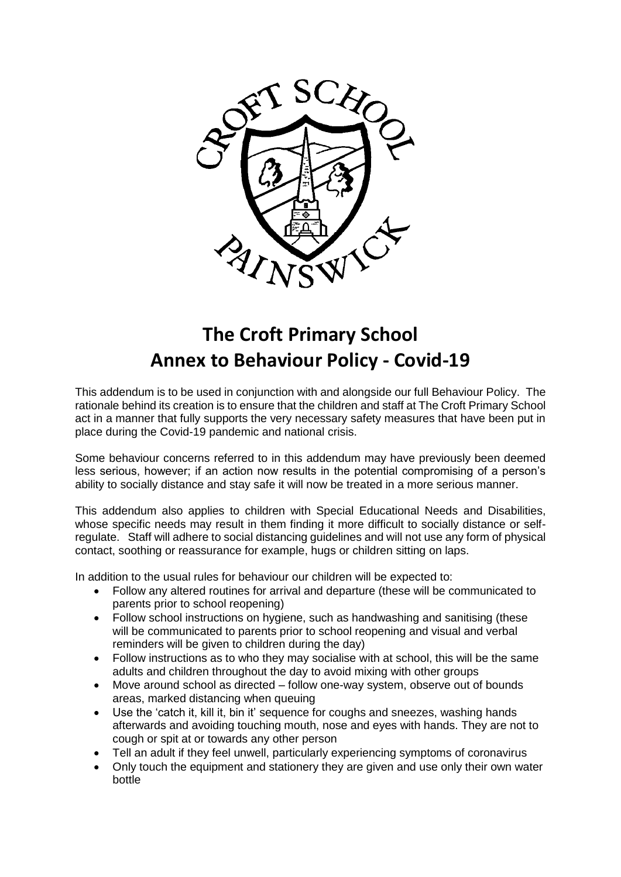

## **The Croft Primary School Annex to Behaviour Policy - Covid-19**

This addendum is to be used in conjunction with and alongside our full Behaviour Policy. The rationale behind its creation is to ensure that the children and staff at The Croft Primary School act in a manner that fully supports the very necessary safety measures that have been put in place during the Covid-19 pandemic and national crisis.

Some behaviour concerns referred to in this addendum may have previously been deemed less serious, however; if an action now results in the potential compromising of a person's ability to socially distance and stay safe it will now be treated in a more serious manner.

This addendum also applies to children with Special Educational Needs and Disabilities, whose specific needs may result in them finding it more difficult to socially distance or selfregulate. Staff will adhere to social distancing guidelines and will not use any form of physical contact, soothing or reassurance for example, hugs or children sitting on laps.

In addition to the usual rules for behaviour our children will be expected to:

- Follow any altered routines for arrival and departure (these will be communicated to parents prior to school reopening)
- Follow school instructions on hygiene, such as handwashing and sanitising (these will be communicated to parents prior to school reopening and visual and verbal reminders will be given to children during the day)
- Follow instructions as to who they may socialise with at school, this will be the same adults and children throughout the day to avoid mixing with other groups
- Move around school as directed follow one-way system, observe out of bounds areas, marked distancing when queuing
- Use the 'catch it, kill it, bin it' sequence for coughs and sneezes, washing hands afterwards and avoiding touching mouth, nose and eyes with hands. They are not to cough or spit at or towards any other person
- Tell an adult if they feel unwell, particularly experiencing symptoms of coronavirus
- Only touch the equipment and stationery they are given and use only their own water bottle